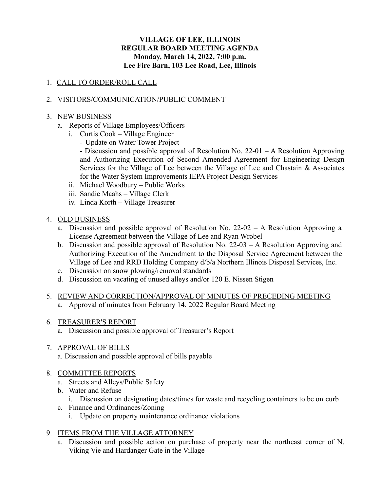### **VILLAGE OF LEE, ILLINOIS REGULAR BOARD MEETING AGENDA Monday, March 14, 2022, 7:00 p.m. Lee Fire Barn, 103 Lee Road, Lee, Illinois**

### 1. CALL TO ORDER/ROLL CALL

### 2. VISITORS/COMMUNICATION/PUBLIC COMMENT

#### 3. NEW BUSINESS

- a. Reports of Village Employees/Officers
	- i. Curtis Cook Village Engineer
		- Update on Water Tower Project
		- Discussion and possible approval of Resolution No. 22-01 A Resolution Approving and Authorizing Execution of Second Amended Agreement for Engineering Design Services for the Village of Lee between the Village of Lee and Chastain & Associates for the Water System Improvements IEPA Project Design Services
	- ii. Michael Woodbury Public Works
	- iii. Sandie Maahs Village Clerk
	- iv. Linda Korth Village Treasurer

#### 4. OLD BUSINESS

- a. Discussion and possible approval of Resolution No. 22-02 A Resolution Approving a License Agreement between the Village of Lee and Ryan Wrobel
- b. Discussion and possible approval of Resolution No. 22-03 A Resolution Approving and Authorizing Execution of the Amendment to the Disposal Service Agreement between the Village of Lee and RRD Holding Company d/b/a Northern Illinois Disposal Services, Inc.
- c. Discussion on snow plowing/removal standards
- d. Discussion on vacating of unused alleys and/or 120 E. Nissen Stigen
- 5. REVIEW AND CORRECTION/APPROVAL OF MINUTES OF PRECEDING MEETING a. Approval of minutes from February 14, 2022 Regular Board Meeting
- 6. TREASURER'S REPORT
	- a. Discussion and possible approval of Treasurer's Report
- 7. APPROVAL OF BILLS
	- a. Discussion and possible approval of bills payable

### 8. COMMITTEE REPORTS

- a. Streets and Alleys/Public Safety
- b. Water and Refuse
	- i. Discussion on designating dates/times for waste and recycling containers to be on curb
- c. Finance and Ordinances/Zoning
	- i. Update on property maintenance ordinance violations

# 9. ITEMS FROM THE VILLAGE ATTORNEY

a. Discussion and possible action on purchase of property near the northeast corner of N. Viking Vie and Hardanger Gate in the Village